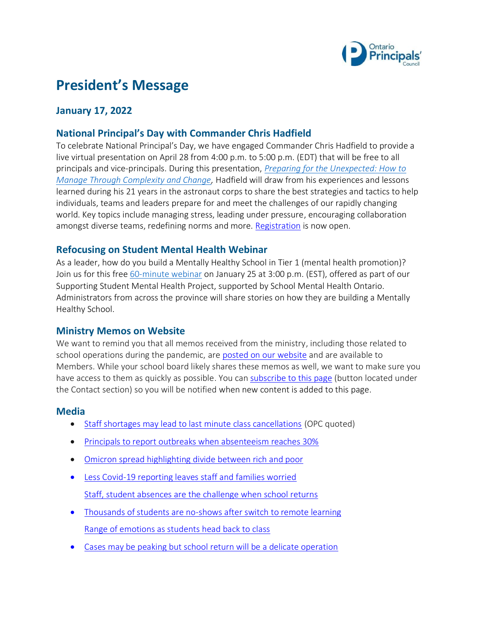

# **President's Message**

## **January 17, 2022**

### **National Principal's Day with Commander Chris Hadfield**

To celebrate National Principal's Day, we have engaged Commander Chris Hadfield to provide a live virtual presentation on April 28 from 4:00 p.m. to 5:00 p.m. (EDT) that will be free to all principals and vice-principals. During this presentation, *[Preparing for the Unexpected: How to](https://www.principals.ca/en/opc-resources/national-principals-day.aspx)  [Manage Through Complexity and Change,](https://www.principals.ca/en/opc-resources/national-principals-day.aspx)* Hadfield will draw from his experiences and lessons learned during his 21 years in the astronaut corps to share the best strategies and tactics to help individuals, teams and leaders prepare for and meet the challenges of our rapidly changing world. Key topics include managing stress, leading under pressure, encouraging collaboration amongst diverse teams, redefining norms and more. [Registration](https://us02web.zoom.us/webinar/register/WN_UlDwnCAER9Sx1wtDV1fAlg) is now open.

#### **Refocusing on Student Mental Health Webinar**

As a leader, how do you build a Mentally Healthy School in Tier 1 (mental health promotion)? Join us for this free [60-minute webinar](https://www.principals.ca/en/professional-learning/supporting-student-mental-health-project.aspx) on January 25 at 3:00 p.m. (EST), offered as part of our Supporting Student Mental Health Project, supported by School Mental Health Ontario. Administrators from across the province will share stories on how they are building a Mentally Healthy School.

#### **Ministry Memos on Website**

We want to remind you that all memos received from the ministry, including those related to school operations during the pandemic, ar[e posted on our website](https://www.principals.ca/en/opc-resources/government-and-ministry-news.aspx) and are available to Members. While your school board likely shares these memos as well, we want to make sure you have access to them as quickly as possible. You ca[n subscribe to this page](https://www.principals.ca/en/opc-resources/government-and-ministry-news.aspx) (button located under the Contact section) so you will be notified when new content is added to this page.

#### **Media**

- [Staff shortages may lead to last minute class cancellations](https://www.thestar.com/news/canada/2022/01/14/school-boards-warn-of-potential-last-minute-class-cancellations-during-covid-surge.html?rf&li_source=LI&li_medium=thestar_canada) (OPC quoted)
- [Principals to report outbreaks when absenteeism reaches 30%](https://ottawa.citynews.ca/local-news/principals-only-required-to-report-covid-outbreaks-to-health-units-when-ontario-schools-hit-30-per-cent-absenteeism-4949808)
- [Omicron spread highlighting divide between rich and poor](https://www.theglobeandmail.com/canada/article-ontario-opening-more-booster-vaccine-clinics-for-teachers-school-staff/)
- [Less Covid-19 reporting leaves staff and families worried](https://www.cbc.ca/news/canada/ottawa/ontario-omicron-surge-return-to-school-1.6311324) [Staff, student absences are the challenge when school returns](https://www.thestar.com/politics/provincial/2022/01/11/teachers-union-expresses-safety-concerns-over-mondays-return-to-in-person-classes-in-ontario-schools.html)
- [Thousands of students are no-shows after switch to remote learning](https://www.thestar.com/news/gta/2022/01/14/thousands-of-students-are-no-shows-after-forced-switch-to-remote-learning.html) [Range of emotions as students head back to class](https://www.thestar.com/news/gta/2022/01/16/ontario-parents-have-a-range-of-emotions-as-in-person-learning-set-to-resume.html)
- [Cases may be peaking but school return will be a delicate operation](https://www.thestar.com/opinion/star-columnists/2022/01/13/some-hopeful-signs-that-omicron-cases-have-peaked-in-ontario-but-schools-will-be-a-delicate-operation.html)